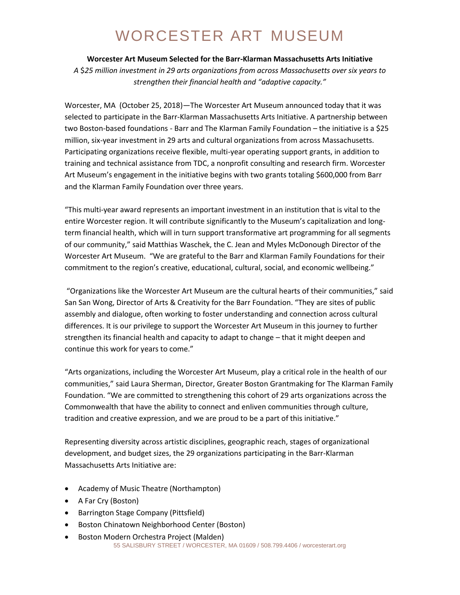## WORCESTER ART MUSEUM

#### **Worcester Art Museum Selected for the Barr-Klarman Massachusetts Arts Initiative**

*A* \$*25 million investment in 29 arts organizations from across Massachusetts over six years to strengthen their financial health and "adaptive capacity."*

Worcester, MA (October 25, 2018)—The Worcester Art Museum announced today that it was selected to participate in the Barr-Klarman Massachusetts Arts Initiative. A partnership between two Boston-based foundations - Barr and The Klarman Family Foundation – the initiative is a \$25 million, six-year investment in 29 arts and cultural organizations from across Massachusetts. Participating organizations receive flexible, multi-year operating support grants, in addition to training and technical assistance from TDC, a nonprofit consulting and research firm. Worcester Art Museum's engagement in the initiative begins with two grants totaling \$600,000 from Barr and the Klarman Family Foundation over three years.

"This multi-year award represents an important investment in an institution that is vital to the entire Worcester region. It will contribute significantly to the Museum's capitalization and longterm financial health, which will in turn support transformative art programming for all segments of our community," said Matthias Waschek, the C. Jean and Myles McDonough Director of the Worcester Art Museum. "We are grateful to the Barr and Klarman Family Foundations for their commitment to the region's creative, educational, cultural, social, and economic wellbeing."

"Organizations like the Worcester Art Museum are the cultural hearts of their communities," said San San Wong, Director of Arts & Creativity for the Barr Foundation. "They are sites of public assembly and dialogue, often working to foster understanding and connection across cultural differences. It is our privilege to support the Worcester Art Museum in this journey to further strengthen its financial health and capacity to adapt to change – that it might deepen and continue this work for years to come."

"Arts organizations, including the Worcester Art Museum, play a critical role in the health of our communities," said Laura Sherman, Director, Greater Boston Grantmaking for The Klarman Family Foundation. "We are committed to strengthening this cohort of 29 arts organizations across the Commonwealth that have the ability to connect and enliven communities through culture, tradition and creative expression, and we are proud to be a part of this initiative."

Representing diversity across artistic disciplines, geographic reach, stages of organizational development, and budget sizes, the 29 organizations participating in the Barr-Klarman Massachusetts Arts Initiative are:

- Academy of Music Theatre (Northampton)
- A Far Cry (Boston)
- Barrington Stage Company (Pittsfield)
- Boston Chinatown Neighborhood Center (Boston)
- 55 SALISBURY STREET / WORCESTER, MA 01609 / 508.799.4406 / worcesterart.org Boston Modern Orchestra Project (Malden)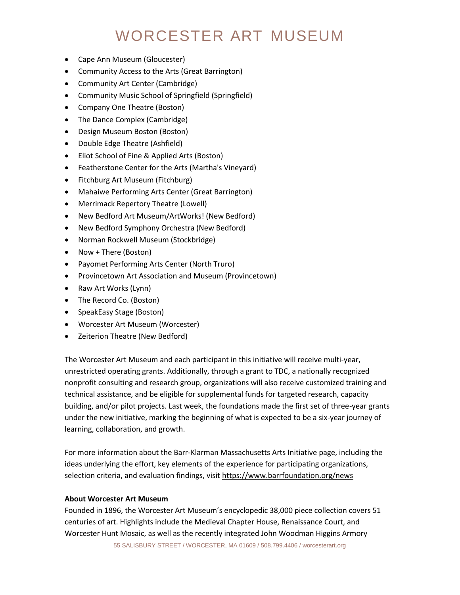# WORCESTER ART MUSEUM

- Cape Ann Museum (Gloucester)
- Community Access to the Arts (Great Barrington)
- Community Art Center (Cambridge)
- Community Music School of Springfield (Springfield)
- Company One Theatre (Boston)
- The Dance Complex (Cambridge)
- Design Museum Boston (Boston)
- Double Edge Theatre (Ashfield)
- Eliot School of Fine & Applied Arts (Boston)
- Featherstone Center for the Arts (Martha's Vineyard)
- Fitchburg Art Museum (Fitchburg)
- Mahaiwe Performing Arts Center (Great Barrington)
- Merrimack Repertory Theatre (Lowell)
- New Bedford Art Museum/ArtWorks! (New Bedford)
- New Bedford Symphony Orchestra (New Bedford)
- Norman Rockwell Museum (Stockbridge)
- Now + There (Boston)
- Payomet Performing Arts Center (North Truro)
- Provincetown Art Association and Museum (Provincetown)
- Raw Art Works (Lynn)
- The Record Co. (Boston)
- SpeakEasy Stage (Boston)
- Worcester Art Museum (Worcester)
- Zeiterion Theatre (New Bedford)

The Worcester Art Museum and each participant in this initiative will receive multi-year, unrestricted operating grants. Additionally, through a grant to TDC, a nationally recognized nonprofit consulting and research group, organizations will also receive customized training and technical assistance, and be eligible for supplemental funds for targeted research, capacity building, and/or pilot projects. Last week, the foundations made the first set of three-year grants under the new initiative, marking the beginning of what is expected to be a six-year journey of learning, collaboration, and growth.

For more information about the Barr-Klarman Massachusetts Arts Initiative page, including the ideas underlying the effort, key elements of the experience for participating organizations, selection criteria, and evaluation findings, visi[t https://www.barrfoundation.org/news](https://www.barrfoundation.org/news)

### **About Worcester Art Museum**

Founded in 1896, the Worcester Art Museum's encyclopedic 38,000 piece collection covers 51 centuries of art. Highlights include the Medieval Chapter House, Renaissance Court, and Worcester Hunt Mosaic, as well as the recently integrated John Woodman Higgins Armory